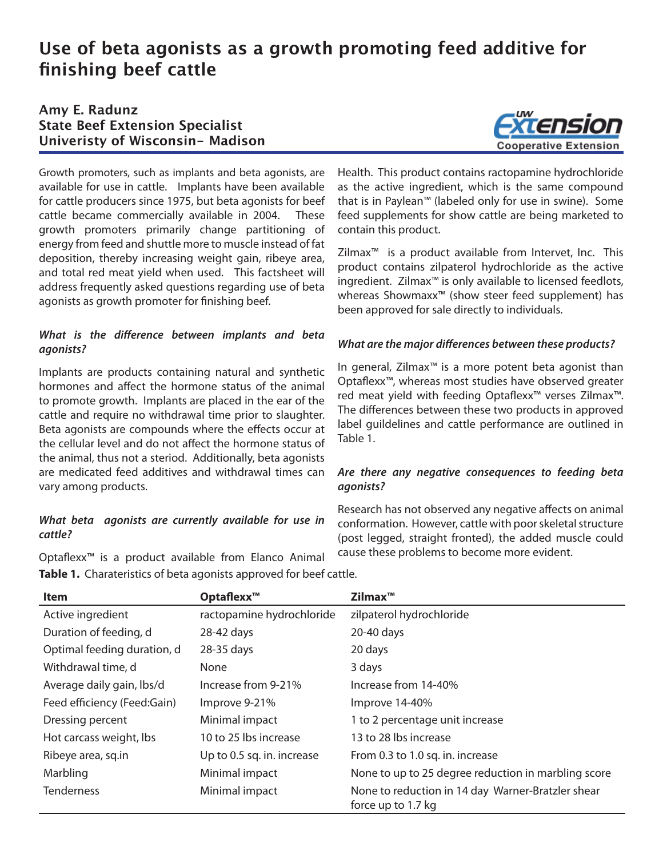# **Use of beta agonists as a growth promoting feed additive for finishing beef cattle**

## **Amy E. Radunz State Beef Extension Specialist Univeristy of Wisconsin- Madison**



Growth promoters, such as implants and beta agonists, are available for use in cattle. Implants have been available for cattle producers since 1975, but beta agonists for beef cattle became commercially available in 2004. These growth promoters primarily change partitioning of energy from feed and shuttle more to muscle instead of fat deposition, thereby increasing weight gain, ribeye area, and total red meat yield when used. This factsheet will address frequently asked questions regarding use of beta agonists as growth promoter for finishing beef.

## *What is the difference between implants and beta agonists?*

Implants are products containing natural and synthetic hormones and affect the hormone status of the animal to promote growth. Implants are placed in the ear of the cattle and require no withdrawal time prior to slaughter. Beta agonists are compounds where the effects occur at the cellular level and do not affect the hormone status of the animal, thus not a steriod. Additionally, beta agonists are medicated feed additives and withdrawal times can vary among products.

## *What beta agonists are currently available for use in cattle?*

Optaflexx™ is a product available from Elanco Animal **Table 1.** Charateristics of beta agonists approved for beef cattle.

Health. This product contains ractopamine hydrochloride as the active ingredient, which is the same compound that is in Paylean™ (labeled only for use in swine). Some feed supplements for show cattle are being marketed to contain this product.

Zilmax™ is a product available from Intervet, Inc. This product contains zilpaterol hydrochloride as the active ingredient. Zilmax™ is only available to licensed feedlots, whereas Showmaxx™ (show steer feed supplement) has been approved for sale directly to individuals.

## *What are the major differences between these products?*

In general, Zilmax™ is a more potent beta agonist than Optaflexx™, whereas most studies have observed greater red meat yield with feeding Optaflexx™ verses Zilmax™. The differences between these two products in approved label guildelines and cattle performance are outlined in Table 1.

## *Are there any negative consequences to feeding beta agonists?*

Research has not observed any negative affects on animal conformation. However, cattle with poor skeletal structure (post legged, straight fronted), the added muscle could cause these problems to become more evident.

| <b>Item</b>                 | Optaflexx™                 | Zilmax <sup>TM</sup>                                                    |
|-----------------------------|----------------------------|-------------------------------------------------------------------------|
| Active ingredient           | ractopamine hydrochloride  | zilpaterol hydrochloride                                                |
| Duration of feeding, d      | 28-42 days                 | 20-40 days                                                              |
| Optimal feeding duration, d | 28-35 days                 | 20 days                                                                 |
| Withdrawal time, d          | None                       | 3 days                                                                  |
| Average daily gain, lbs/d   | Increase from 9-21%        | Increase from 14-40%                                                    |
| Feed efficiency (Feed:Gain) | Improve 9-21%              | Improve 14-40%                                                          |
| Dressing percent            | Minimal impact             | 1 to 2 percentage unit increase                                         |
| Hot carcass weight, lbs     | 10 to 25 lbs increase      | 13 to 28 lbs increase                                                   |
| Ribeye area, sq.in          | Up to 0.5 sq. in. increase | From 0.3 to 1.0 sq. in. increase                                        |
| Marbling                    | Minimal impact             | None to up to 25 degree reduction in marbling score                     |
| <b>Tenderness</b>           | Minimal impact             | None to reduction in 14 day Warner-Bratzler shear<br>force up to 1.7 kg |